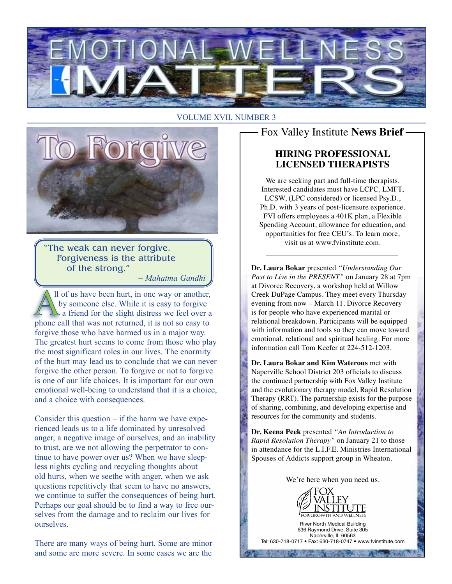

#### VOLUME XVII, NUMBER 3



"The weak can never forgive. Forgiveness is the attribute of the strong."

*– Mahatma Gandhi*

ll of us have been hurt, in one way or another, by someone else. While it is easy to forgive  $\blacktriangle$  a friend for the slight distress we feel over a phone call that was not returned, it is not so easy to forgive those who have harmed us in a major way. The greatest hurt seems to come from those who play the most significant roles in our lives. The enormity of the hurt may lead us to conclude that we can never forgive the other person. To forgive or not to forgive is one of our life choices. It is important for our own emotional well-being to understand that it is a choice, and a choice with consequences.

Consider this question  $-$  if the harm we have experienced leads us to a life dominated by unresolved anger, a negative image of ourselves, and an inability to trust, are we not allowing the perpetrator to continue to have power over us? When we have sleepless nights cycling and recycling thoughts about old hurts, when we seethe with anger, when we ask questions repetitively that seem to have no answers, we continue to suffer the consequences of being hurt. Perhaps our goal should be to find a way to free ourselves from the damage and to reclaim our lives for ourselves.

There are many ways of being hurt. Some are minor and some are more severe. In some cases we are the

## Fox Valley Institute **News Brief**

#### **HIRING PROFESSIONAL LICENSED THERAPISTS**

We are seeking part and full-time therapists. Interested candidates must have LCPC, LMFT, LCSW, (LPC considered) or licensed Psy.D., Ph.D. with 3 years of post-licensure experience. FVI offers employees a 401K plan, a Flexible Spending Account, allowance for education, and opportunities for free CEU's. To learn more, visit us at www.fvinstitute.com.

**Dr. Laura Bokar** presented *"Understanding Our Past to Live in the PRESENT"* on January 28 at 7pm at Divorce Recovery, a workshop held at Willow Creek DuPage Campus. They meet every Thursday evening from now – March 11. Divorce Recovery is for people who have experienced marital or relational breakdown. Participants will be equipped with information and tools so they can move toward emotional, relational and spiritual healing. For more information call Tom Keefer at 224-512-1203.

**Dr. Laura Bokar and Kim Waterous** met with Naperville School District 203 officials to discuss the continued partnership with Fox Valley Institute and the evolutionary therapy model, Rapid Resolution Therapy (RRT). The partnership exists for the purpose of sharing, combining, and developing expertise and resources for the community and students.

**Dr. Keena Peek** presented *"An Introduction to Rapid Resolution Therapy"* on January 21 to those in attendance for the L.I.F.E. Ministries International Spouses of Addicts support group in Wheaton.

We're here when you need us.



River North Medical Building 636 Raymond Drive, Suite 305 Naperville, IL 60563 Tel: 630-718-0717 • Fax: 630-718-0747 • www.fvinstitute.com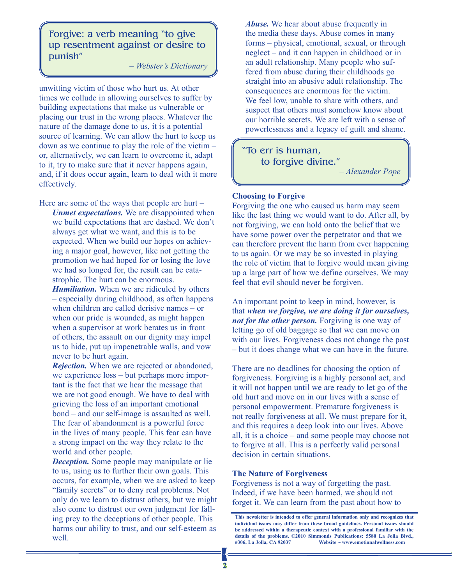Forgive: a verb meaning "to give up resentment against or desire to punish"

*– Webster's Dictionary*

unwitting victim of those who hurt us. At other times we collude in allowing ourselves to suffer by building expectations that make us vulnerable or placing our trust in the wrong places. Whatever the nature of the damage done to us, it is a potential source of learning. We can allow the hurt to keep us down as we continue to play the role of the victim – or, alternatively, we can learn to overcome it, adapt to it, try to make sure that it never happens again, and, if it does occur again, learn to deal with it more effectively.

Here are some of the ways that people are hurt –

*Unmet expectations.* We are disappointed when we build expectations that are dashed. We don't always get what we want, and this is to be expected. When we build our hopes on achieving a major goal, however, like not getting the promotion we had hoped for or losing the love we had so longed for, the result can be catastrophic. The hurt can be enormous.

*Humiliation.* When we are ridiculed by others – especially during childhood, as often happens when children are called derisive names – or when our pride is wounded, as might happen when a supervisor at work berates us in front of others, the assault on our dignity may impel us to hide, put up impenetrable walls, and vow never to be hurt again.

*Rejection.* When we are rejected or abandoned, we experience loss – but perhaps more important is the fact that we hear the message that we are not good enough. We have to deal with grieving the loss of an important emotional bond – and our self-image is assaulted as well. The fear of abandonment is a powerful force in the lives of many people. This fear can have a strong impact on the way they relate to the world and other people.

*Deception.* Some people may manipulate or lie to us, using us to further their own goals. This occurs, for example, when we are asked to keep "family secrets" or to deny real problems. Not only do we learn to distrust others, but we might also come to distrust our own judgment for falling prey to the deceptions of other people. This harms our ability to trust, and our self-esteem as well.

*Abuse.* We hear about abuse frequently in the media these days. Abuse comes in many forms – physical, emotional, sexual, or through neglect – and it can happen in childhood or in an adult relationship. Many people who suffered from abuse during their childhoods go straight into an abusive adult relationship. The consequences are enormous for the victim. We feel low, unable to share with others, and suspect that others must somehow know about our horrible secrets. We are left with a sense of powerlessness and a legacy of guilt and shame.

"To err is human, to forgive divine."

*– Alexander Pope*

#### **Choosing to Forgive**

Forgiving the one who caused us harm may seem like the last thing we would want to do. After all, by not forgiving, we can hold onto the belief that we have some power over the perpetrator and that we can therefore prevent the harm from ever happening to us again. Or we may be so invested in playing the role of victim that to forgive would mean giving up a large part of how we define ourselves. We may feel that evil should never be forgiven.

An important point to keep in mind, however, is that *when we forgive, we are doing it for ourselves, not for the other person.* Forgiving is one way of letting go of old baggage so that we can move on with our lives. Forgiveness does not change the past – but it does change what we can have in the future.

There are no deadlines for choosing the option of forgiveness. Forgiving is a highly personal act, and it will not happen until we are ready to let go of the old hurt and move on in our lives with a sense of personal empowerment. Premature forgiveness is not really forgiveness at all. We must prepare for it, and this requires a deep look into our lives. Above all, it is a choice – and some people may choose not to forgive at all. This is a perfectly valid personal decision in certain situations.

#### **The Nature of Forgiveness**

Forgiveness is not a way of forgetting the past. Indeed, if we have been harmed, we should not forget it. We can learn from the past about how to

**This newsletter is intended to offer general information only and recognizes that individual issues may differ from these broad guidelines. Personal issues should be addressed within a therapeutic context with a professional familiar with the details of the problems. ©2010 Simmonds Publications: 5580 La Jolla Blvd., #306, La Jolla, CA 92037 Website ~ www.emotionalwellness.com**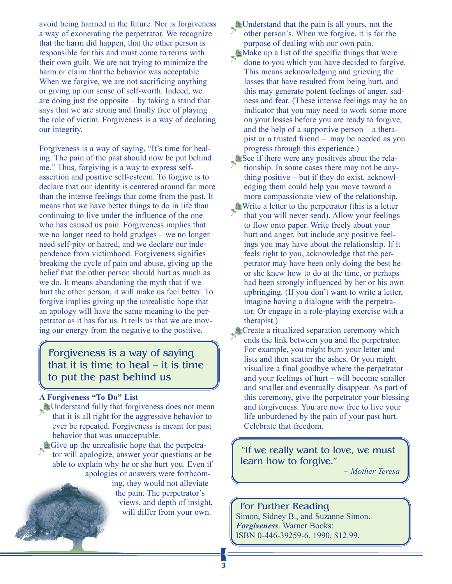avoid being harmed in the future. Nor is forgiveness a way of exonerating the perpetrator. We recognize that the harm did happen, that the other person is responsible for this and must come to terms with their own guilt. We are not trying to minimize the harm or claim that the behavior was acceptable. When we forgive, we are not sacrificing anything or giving up our sense of self-worth. Indeed, we are doing just the opposite – by taking a stand that says that we are strong and finally free of playing the role of victim. Forgiveness is a way of declaring our integrity.

Forgiveness is a way of saying, "It's time for healing. The pain of the past should now be put behind me." Thus, forgiving is a way to express selfassertion and positive self-esteem. To forgive is to declare that our identity is centered around far more than the intense feelings that come from the past. It means that we have better things to do in life than continuing to live under the influence of the one who has caused us pain. Forgiveness implies that we no longer need to hold grudges – we no longer need self-pity or hatred, and we declare our independence from victimhood. Forgiveness signifies breaking the cycle of pain and abuse, giving up the belief that the other person should hurt as much as we do. It means abandoning the myth that if we hurt the other person, it will make us feel better. To forgive implies giving up the unrealistic hope that an apology will have the same meaning to the perpetrator as it has for us. It tells us that we are moving our energy from the negative to the positive.

### Forgiveness is a way of saying that it is time to heal – it is time to put the past behind us

#### **A Forgiveness "To Do" List**

 Understand fully that forgiveness does not mean that it is all right for the aggressive behavior to ever be repeated. Forgiveness is meant for past behavior that was unacceptable.

Give up the unrealistic hope that the perpetrator will apologize, answer your questions or be able to explain why he or she hurt you. Even if apologies or answers were forthcom-

> ing, they would not alleviate the pain. The perpetrator's views, and depth of insight, will differ from your own.

Understand that the pain is all yours, not the other person's. When we forgive, it is for the purpose of dealing with our own pain.  $\blacktriangleright$  Make up a list of the specific things that were done to you which you have decided to forgive. This means acknowledging and grieving the losses that have resulted from being hurt, and this may generate potent feelings of anger, sadness and fear. (These intense feelings may be an indicator that you may need to work some more on your losses before you are ready to forgive, and the help of a supportive person – a therapist or a trusted friend – may be needed as you progress through this experience.)  $See$  if there were any positives about the relationship. In some cases there may not be anything positive – but if they do exist, acknowledging them could help you move toward a more compassionate view of the relationship. Write a letter to the perpetrator (this is a letter that you will never send). Allow your feelings to flow onto paper. Write freely about your hurt and anger, but include any positive feelings you may have about the relationship. If it feels right to you, acknowledge that the perpetrator may have been only doing the best he or she knew how to do at the time, or perhaps had been strongly influenced by her or his own upbringing. (If you don't want to write a letter, imagine having a dialogue with the perpetrator. Or engage in a role-playing exercise with a therapist.)

Create a ritualized separation ceremony which ends the link between you and the perpetrator. For example, you might burn your letter and lists and then scatter the ashes. Or you might visualize a final goodbye where the perpetrator – and your feelings of hurt – will become smaller and smaller and eventually disappear. As part of this ceremony, give the perpetrator your blessing and forgiveness. You are now free to live your life unburdened by the pain of your past hurt. Celebrate that freedom.

"If we really want to love, we must learn how to forgive."

*– Mother Teresa*

#### For Further Reading

Simon, Sidney B., and Suzanne Simon. *Forgiveness*. Warner Books: ISBN 0-446-39259-6. 1990, \$12.99.